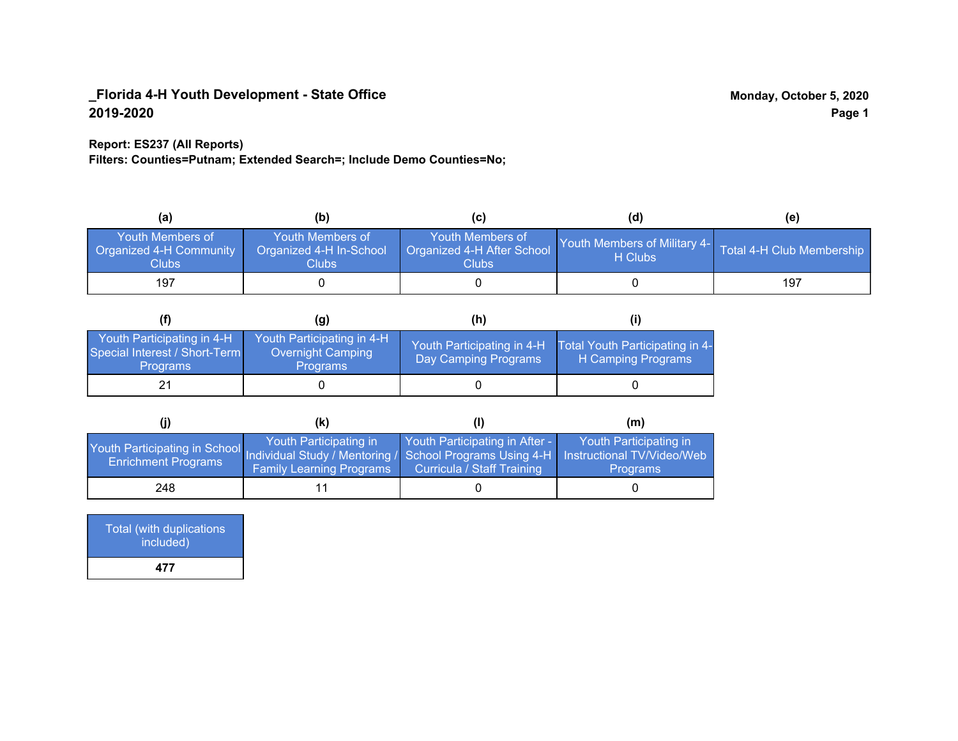## **Report: ES237 (All Reports)**

**Filters: Counties=Putnam; Extended Search=; Include Demo Counties=No;**

| (a)                                                  | (b)                                                         |                                                         | (d)                                     | (e)                       |
|------------------------------------------------------|-------------------------------------------------------------|---------------------------------------------------------|-----------------------------------------|---------------------------|
| Youth Members of<br>Organized 4-H Community<br>Clubs | Youth Members of<br>Organized 4-H In-School<br><b>Clubs</b> | Youth Members of<br>Organized 4-H After School<br>Clubs | Youth Members of Military 4-<br>H Clubs | Total 4-H Club Membership |
| 197                                                  |                                                             |                                                         |                                         | 197                       |

|                                                                                | (g)                                                                       | (h)                                                 |                                                       |
|--------------------------------------------------------------------------------|---------------------------------------------------------------------------|-----------------------------------------------------|-------------------------------------------------------|
| Youth Participating in 4-H<br>Special Interest / Short-Term<br><b>Programs</b> | Youth Participating in 4-H<br><b>Overnight Camping</b><br><b>Programs</b> | Youth Participating in 4-H,<br>Day Camping Programs | Total Youth Participating in 4-<br>H Camping Programs |
|                                                                                |                                                                           |                                                     |                                                       |

|                                                                                                                                                   | (K)                                                       |                                                                     | (m)                                       |
|---------------------------------------------------------------------------------------------------------------------------------------------------|-----------------------------------------------------------|---------------------------------------------------------------------|-------------------------------------------|
| Youth Participating in School Individual Study / Mentoring / School Programs Using 4-H   Instructional TV/Video/Web<br><b>Enrichment Programs</b> | Youth Participating in<br><b>Family Learning Programs</b> | Youth Participating in After -<br><b>Curricula / Staff Training</b> | Youth Participating in<br><b>Programs</b> |
| 248                                                                                                                                               |                                                           |                                                                     |                                           |

| <b>Total (with duplications)</b><br>included) |  |
|-----------------------------------------------|--|
| 477                                           |  |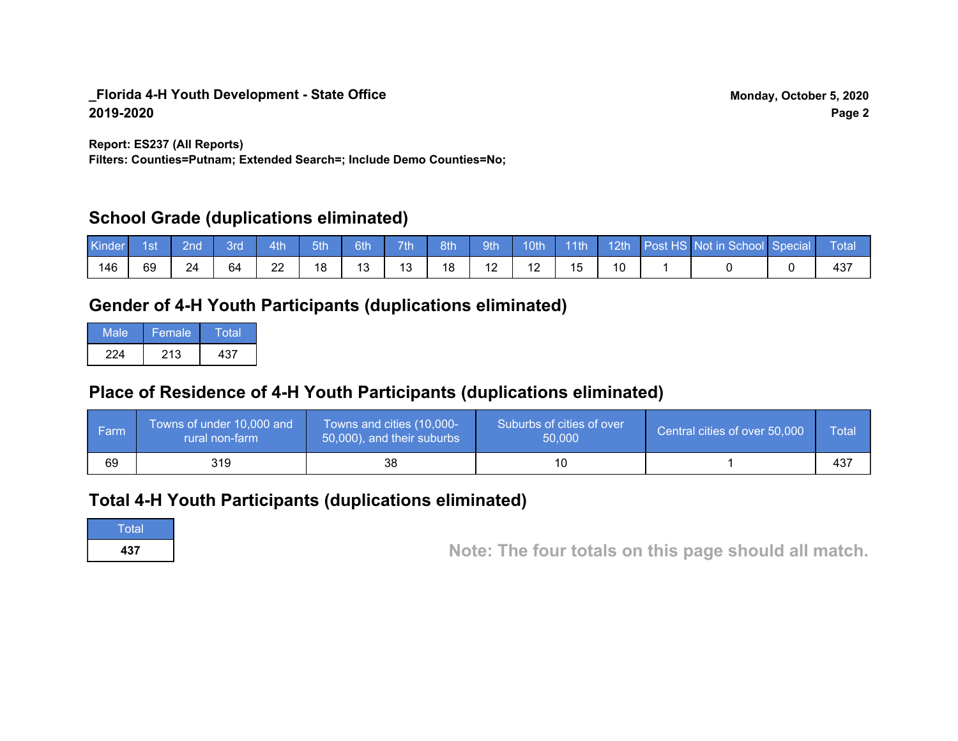**Report: ES237 (All Reports)**

**Filters: Counties=Putnam; Extended Search=; Include Demo Counties=No;**

# **School Grade (duplications eliminated)**

| Kinder | 1st | 2nd' | 3rd | 4th | 5th | 6th | 7 <sup>th</sup> | 8th | 9th |        | 10th 11th |  | 12th Post HS Not in School Special | <b>Total</b> |
|--------|-----|------|-----|-----|-----|-----|-----------------|-----|-----|--------|-----------|--|------------------------------------|--------------|
| 146    | 69  | 24   | 64  | 22  |     | 13  | 13              | 18  |     | $\sim$ |           |  |                                    |              |

# **Gender of 4-H Youth Participants (duplications eliminated)**

| Male | Female | Total |
|------|--------|-------|
| 224  | 213    | 437   |

# **Place of Residence of 4-H Youth Participants (duplications eliminated)**

| <b>Farm</b> | Towns of under 10,000 and<br>rural non-farm | Towns and cities (10,000-<br>50,000), and their suburbs | Suburbs of cities of over<br>50,000 | Central cities of over 50,000 | Total |
|-------------|---------------------------------------------|---------------------------------------------------------|-------------------------------------|-------------------------------|-------|
| 69          | 319                                         | 38                                                      |                                     |                               | 437   |

# **Total 4-H Youth Participants (duplications eliminated)**

**Total** 

**<sup>437</sup> Note: The four totals on this page should all match.**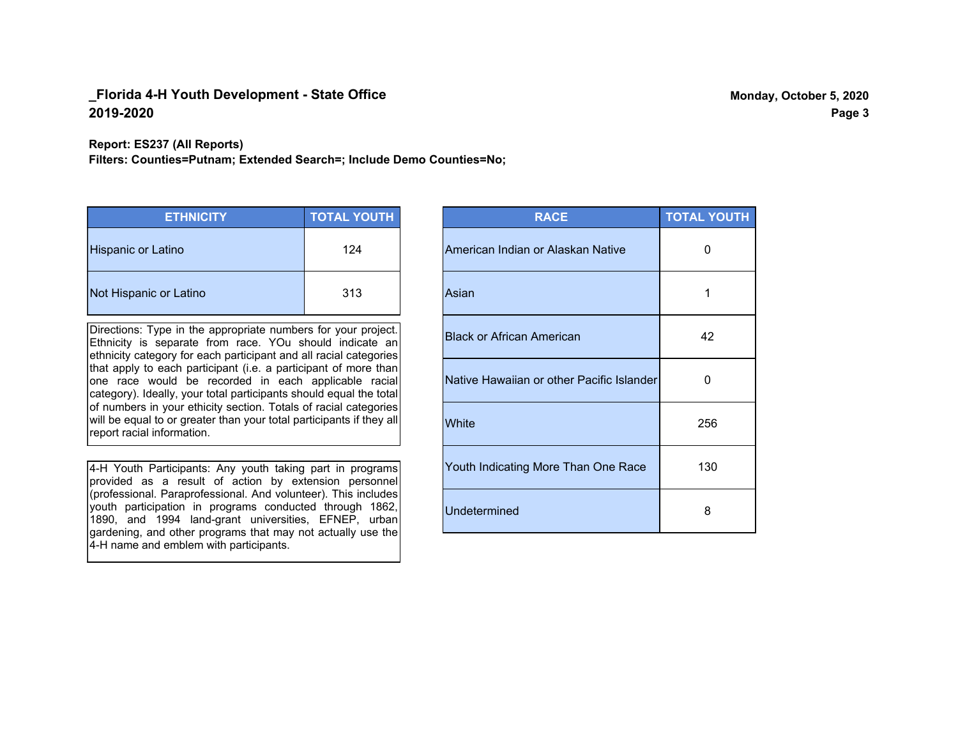#### **Report: ES237 (All Reports)**

**Filters: Counties=Putnam; Extended Search=; Include Demo Counties=No;**

| <b>ETHNICITY</b>          | <b>TOTAL YOUTH</b> |
|---------------------------|--------------------|
| <b>Hispanic or Latino</b> | 124                |
| Not Hispanic or Latino    | 313                |

Directions: Type in the appropriate numbers for your project. Ethnicity is separate from race. YOu should indicate an ethnicity category for each participant and all racial categories that apply to each participant (i.e. a participant of more than one race would be recorded in each applicable racial category). Ideally, your total participants should equal the total of numbers in your ethicity section. Totals of racial categories will be equal to or greater than your total participants if they all report racial information.

4-H Youth Participants: Any youth taking part in programs provided as a result of action by extension personnel (professional. Paraprofessional. And volunteer). This includes youth participation in programs conducted through 1862, 1890, and 1994 land-grant universities, EFNEP, urban gardening, and other programs that may not actually use the 4-H name and emblem with participants.

| <b>RACE</b>                               | <b>TOTAL YOUTH</b> |
|-------------------------------------------|--------------------|
| American Indian or Alaskan Native         | O                  |
| Asian                                     | 1                  |
| <b>Black or African American</b>          | 42                 |
| Native Hawaiian or other Pacific Islander | 0                  |
| White                                     | 256                |
| Youth Indicating More Than One Race       | 130                |
| <b>Undetermined</b>                       | 8                  |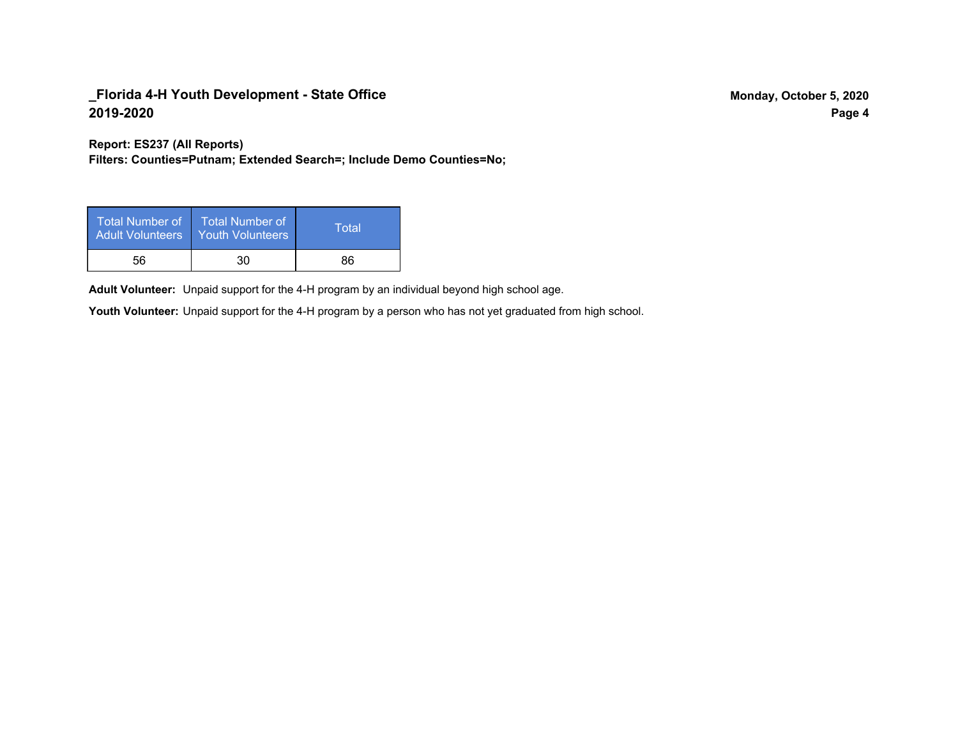**Report: ES237 (All Reports)**

**Filters: Counties=Putnam; Extended Search=; Include Demo Counties=No;**

| Total Number of<br><b>Adult Volunteers</b> | <b>Total Number of</b><br><b>Youth Volunteers</b> | Total |
|--------------------------------------------|---------------------------------------------------|-------|
| 56                                         | 30                                                | 86    |

Adult Volunteer: Unpaid support for the 4-H program by an individual beyond high school age.

Youth Volunteer: Unpaid support for the 4-H program by a person who has not yet graduated from high school.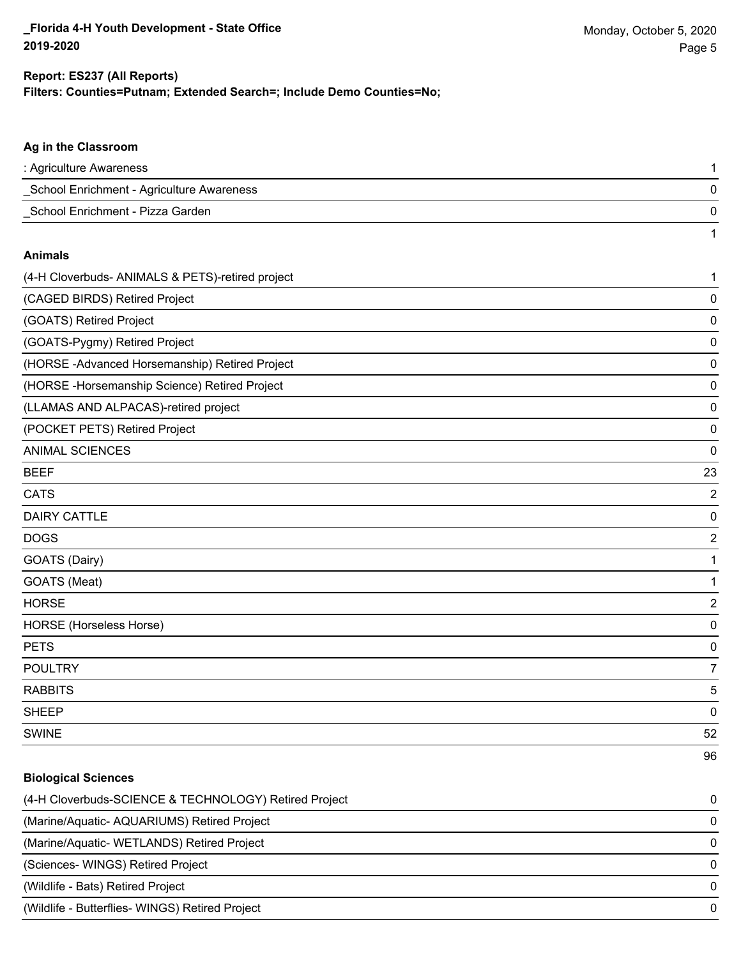#### **Filters: Counties=Putnam; Extended Search=; Include Demo Counties=No; Report: ES237 (All Reports)**

# **Ag in the Classroom** : Agriculture Awareness 1 \_School Enrichment - Agriculture Awareness 0 \_School Enrichment - Pizza Garden 0 1 **Animals** (4-H Cloverbuds- ANIMALS & PETS)-retired project 1 (CAGED BIRDS) Retired Project 0 (GOATS) Retired Project 0 (GOATS-Pygmy) Retired Project 0 (HORSE -Advanced Horsemanship) Retired Project 0 (HORSE -Horsemanship Science) Retired Project 0 (LLAMAS AND ALPACAS)-retired project 0 (POCKET PETS) Retired Project 0 ANIMAL SCIENCES 0 BEEF 23 CATS 22 and 22 and 22 and 23 and 23 and 23 and 23 and 23 and 23 and 23 and 23 and 24 and 25 and 26 and 26 and 26 and 26 and 26 and 26 and 26 and 26 and 26 and 26 and 26 and 26 and 26 and 26 and 26 and 26 and 26 and 26 and DAIRY CATTLE 0 DOGS 2 GOATS (Dairy) 1 GOATS (Meat) 2008 120 AM 2009 12:00 12:00 12:00 12:00 12:00 12:00 12:00 12:00 12:00 12:00 12:00 12:00 12:00 12:00 12:00 12:00 12:00 12:00 12:00 12:00 12:00 12:00 12:00 12:00 12:00 12:00 12:00 12:00 12:00 12:00 12:00 12:00 HORSE 2 HORSE (Horseless Horse) 0 PETS 0 POULTRY **And the contract of the contract of the contract of the contract of the contract of the contract of the contract of the contract of the contract of the contract of the contract of the contract of the contract of t** RABBITS 5 sheep to the control of the control of the control of the control of the control of the control of the control of the control of the control of the control of the control of the control of the control of the control of the SWINE 52 96

# **Biological Sciences** (4-H Cloverbuds-SCIENCE & TECHNOLOGY) Retired Project 0 (Marine/Aquatic- AQUARIUMS) Retired Project 0 (Marine/Aquatic- WETLANDS) Retired Project 0 (Sciences- WINGS) Retired Project 0 (Wildlife - Bats) Retired Project 0 (Wildlife - Butterflies- WINGS) Retired Project 0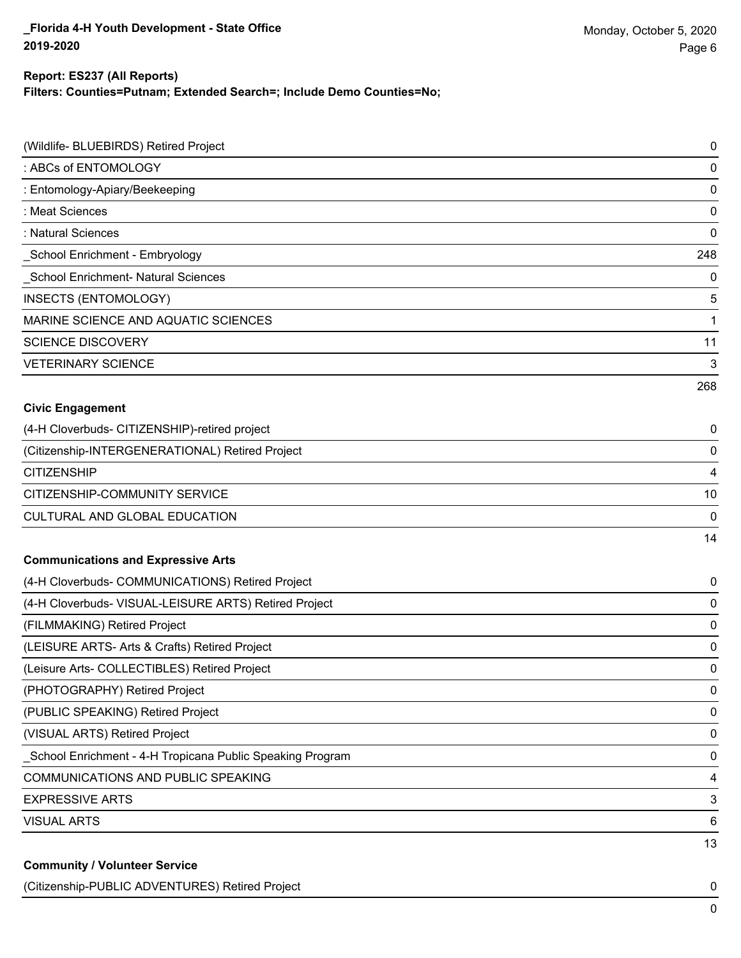## **Report: ES237 (All Reports)**

**Filters: Counties=Putnam; Extended Search=; Include Demo Counties=No;**

| (Wildlife- BLUEBIRDS) Retired Project                     | $\pmb{0}$   |
|-----------------------------------------------------------|-------------|
| : ABCs of ENTOMOLOGY                                      | 0           |
| : Entomology-Apiary/Beekeeping                            | $\mathbf 0$ |
| : Meat Sciences                                           | $\mathbf 0$ |
| : Natural Sciences                                        | 0           |
| School Enrichment - Embryology                            | 248         |
| School Enrichment- Natural Sciences                       | 0           |
| INSECTS (ENTOMOLOGY)                                      | 5           |
| MARINE SCIENCE AND AQUATIC SCIENCES                       | 1           |
| <b>SCIENCE DISCOVERY</b>                                  | 11          |
| <b>VETERINARY SCIENCE</b>                                 | 3           |
|                                                           | 268         |
| <b>Civic Engagement</b>                                   |             |
| (4-H Cloverbuds- CITIZENSHIP)-retired project             | 0           |
| (Citizenship-INTERGENERATIONAL) Retired Project           | $\mathbf 0$ |
| <b>CITIZENSHIP</b>                                        | 4           |
| CITIZENSHIP-COMMUNITY SERVICE                             | 10          |
| <b>CULTURAL AND GLOBAL EDUCATION</b>                      | 0           |
|                                                           | 14          |
| <b>Communications and Expressive Arts</b>                 |             |
| (4-H Cloverbuds- COMMUNICATIONS) Retired Project          | 0           |
| (4-H Cloverbuds- VISUAL-LEISURE ARTS) Retired Project     | 0           |
| (FILMMAKING) Retired Project                              | 0           |
| (LEISURE ARTS- Arts & Crafts) Retired Project             | 0           |
| (Leisure Arts- COLLECTIBLES) Retired Project              | 0           |
| (PHOTOGRAPHY) Retired Project                             | $\pmb{0}$   |
| (PUBLIC SPEAKING) Retired Project                         | 0           |
| (VISUAL ARTS) Retired Project                             | $\pmb{0}$   |
| School Enrichment - 4-H Tropicana Public Speaking Program | 0           |
| <b>COMMUNICATIONS AND PUBLIC SPEAKING</b>                 | 4           |
| <b>EXPRESSIVE ARTS</b>                                    | 3           |
| <b>VISUAL ARTS</b>                                        | 6           |
| <b>Community / Volunteer Service</b>                      | 13          |

(Citizenship-PUBLIC ADVENTURES) Retired Project 0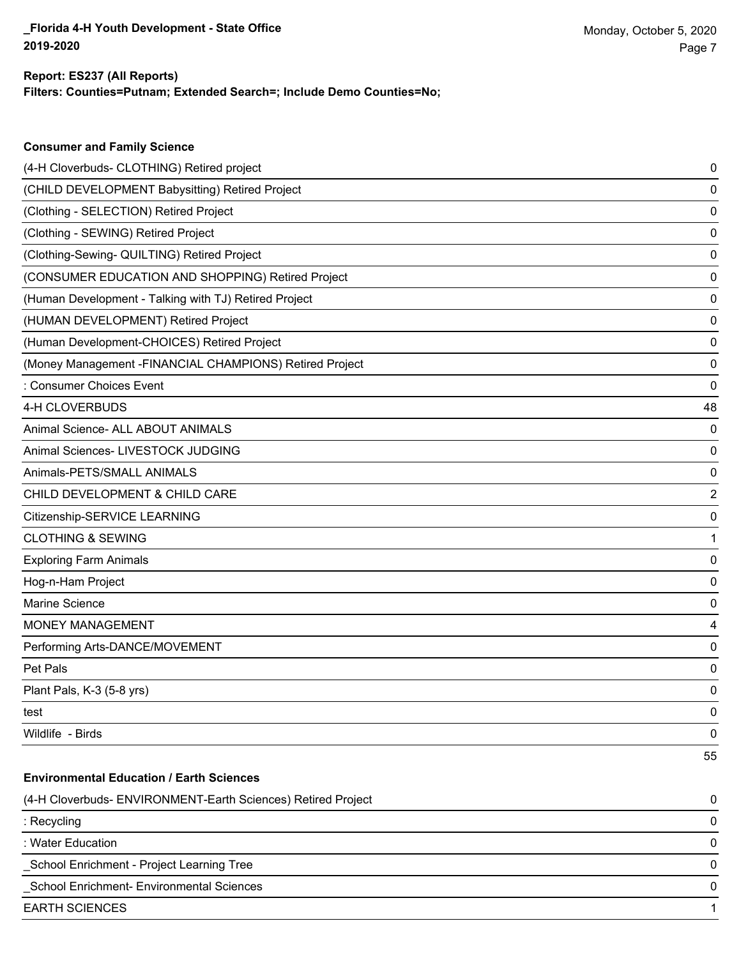**Consumer and Family Science**

## **Filters: Counties=Putnam; Extended Search=; Include Demo Counties=No; Report: ES237 (All Reports)**

| (4-H Cloverbuds- CLOTHING) Retired project                   | 0                       |
|--------------------------------------------------------------|-------------------------|
| (CHILD DEVELOPMENT Babysitting) Retired Project              | 0                       |
| (Clothing - SELECTION) Retired Project                       | 0                       |
| (Clothing - SEWING) Retired Project                          | 0                       |
| (Clothing-Sewing- QUILTING) Retired Project                  | 0                       |
| (CONSUMER EDUCATION AND SHOPPING) Retired Project            | 0                       |
| (Human Development - Talking with TJ) Retired Project        | 0                       |
| (HUMAN DEVELOPMENT) Retired Project                          | 0                       |
| (Human Development-CHOICES) Retired Project                  | 0                       |
| (Money Management -FINANCIAL CHAMPIONS) Retired Project      | 0                       |
| : Consumer Choices Event                                     | 0                       |
| 4-H CLOVERBUDS                                               | 48                      |
| Animal Science- ALL ABOUT ANIMALS                            | 0                       |
| Animal Sciences- LIVESTOCK JUDGING                           | 0                       |
| Animals-PETS/SMALL ANIMALS                                   | 0                       |
| CHILD DEVELOPMENT & CHILD CARE                               | $\overline{\mathbf{c}}$ |
| Citizenship-SERVICE LEARNING                                 | 0                       |
| <b>CLOTHING &amp; SEWING</b>                                 | 1                       |
| <b>Exploring Farm Animals</b>                                | 0                       |
| Hog-n-Ham Project                                            | 0                       |
| Marine Science                                               | 0                       |
| MONEY MANAGEMENT                                             | 4                       |
| Performing Arts-DANCE/MOVEMENT                               | 0                       |
| Pet Pals                                                     | 0                       |
| Plant Pals, K-3 (5-8 yrs)                                    | 0                       |
| test                                                         | 0                       |
| Wildlife - Birds                                             | 0                       |
|                                                              | 55                      |
| <b>Environmental Education / Earth Sciences</b>              |                         |
| (4-H Cloverbuds- ENVIRONMENT-Earth Sciences) Retired Project | 0                       |
| : Recycling                                                  | 0                       |
| : Water Education                                            | 0                       |
| School Enrichment - Project Learning Tree                    | 0                       |
| School Enrichment- Environmental Sciences                    | 0                       |
| <b>EARTH SCIENCES</b>                                        | 1                       |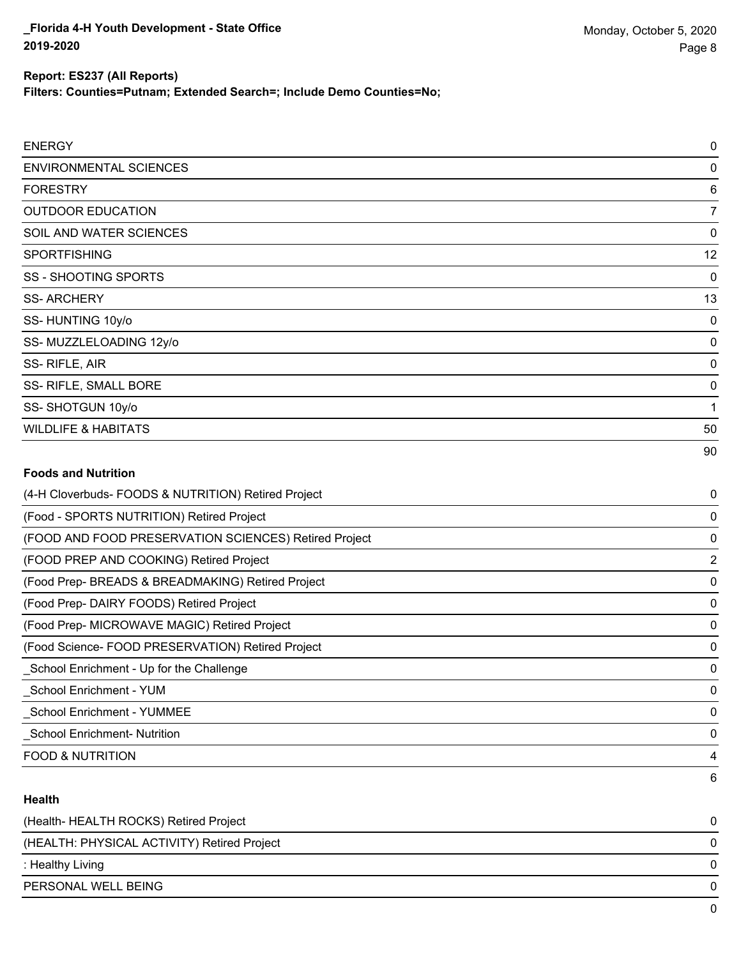**Filters: Counties=Putnam; Extended Search=; Include Demo Counties=No;**

| <b>ENERGY</b>                  | $\mathbf 0$     |
|--------------------------------|-----------------|
| <b>ENVIRONMENTAL SCIENCES</b>  | 0               |
| <b>FORESTRY</b>                | $6\phantom{1}6$ |
| <b>OUTDOOR EDUCATION</b>       | 7               |
| SOIL AND WATER SCIENCES        | 0               |
| <b>SPORTFISHING</b>            | 12              |
| SS - SHOOTING SPORTS           | 0               |
| <b>SS-ARCHERY</b>              | 13              |
| SS-HUNTING 10y/o               | 0               |
| SS-MUZZLELOADING 12y/o         | 0               |
| SS-RIFLE, AIR                  | 0               |
| SS- RIFLE, SMALL BORE          | 0               |
| SS-SHOTGUN 10y/o               | 1               |
| <b>WILDLIFE &amp; HABITATS</b> | 50              |
|                                | 90              |
| <b>Foods and Nutrition</b>     |                 |

| (4-H Cloverbuds- FOODS & NUTRITION) Retired Project   | 0            |
|-------------------------------------------------------|--------------|
| (Food - SPORTS NUTRITION) Retired Project             | 0            |
| (FOOD AND FOOD PRESERVATION SCIENCES) Retired Project | 0            |
| (FOOD PREP AND COOKING) Retired Project               | 2            |
| (Food Prep- BREADS & BREADMAKING) Retired Project     | 0            |
| (Food Prep- DAIRY FOODS) Retired Project              | 0            |
| (Food Prep- MICROWAVE MAGIC) Retired Project          | 0            |
| (Food Science-FOOD PRESERVATION) Retired Project      | 0            |
| _School Enrichment - Up for the Challenge             | 0            |
| School Enrichment - YUM                               | 0            |
| <b>School Enrichment - YUMMEE</b>                     | 0            |
| <b>School Enrichment- Nutrition</b>                   | $\mathbf{0}$ |
| <b>FOOD &amp; NUTRITION</b>                           | 4            |
|                                                       | 6            |

## **Health**

| (Health-HEALTH ROCKS) Retired Project       | 0 |
|---------------------------------------------|---|
| (HEALTH: PHYSICAL ACTIVITY) Retired Project | 0 |
| : Healthy Living                            | 0 |
| PERSONAL WELL BEING                         | 0 |
|                                             | 0 |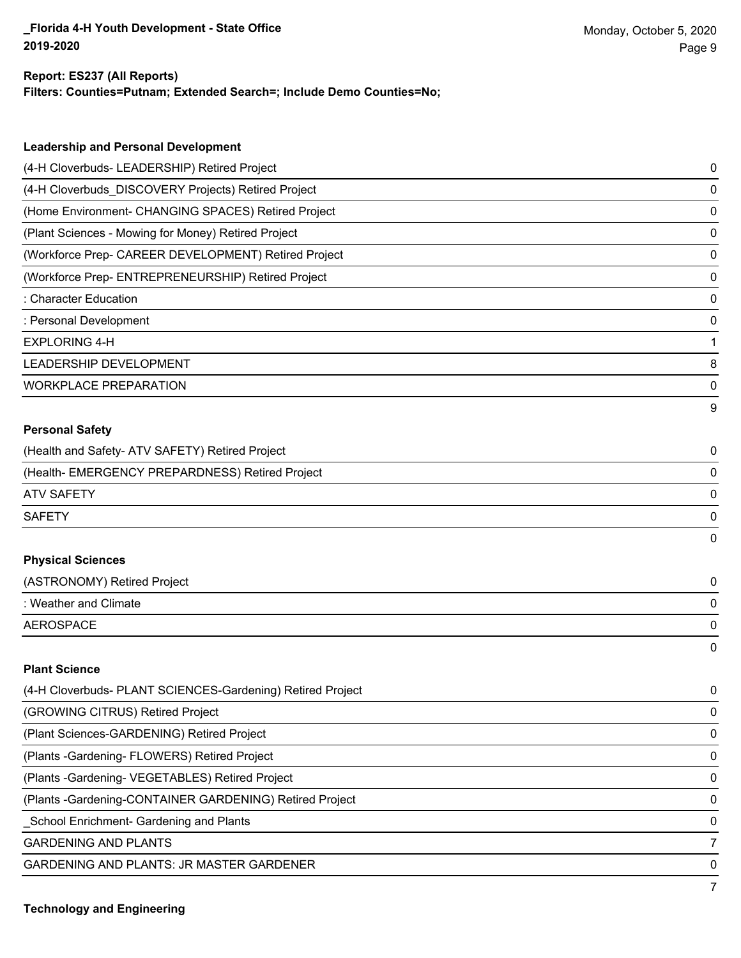#### **Report: ES237 (All Reports)**

**Filters: Counties=Putnam; Extended Search=; Include Demo Counties=No;**

| <b>Leadership and Personal Development</b>                 |             |
|------------------------------------------------------------|-------------|
| (4-H Cloverbuds- LEADERSHIP) Retired Project               | 0           |
| (4-H Cloverbuds_DISCOVERY Projects) Retired Project        | 0           |
| (Home Environment- CHANGING SPACES) Retired Project        | 0           |
| (Plant Sciences - Mowing for Money) Retired Project        | 0           |
| (Workforce Prep- CAREER DEVELOPMENT) Retired Project       | 0           |
| (Workforce Prep- ENTREPRENEURSHIP) Retired Project         | 0           |
| : Character Education                                      | 0           |
| : Personal Development                                     | 0           |
| <b>EXPLORING 4-H</b>                                       | 1           |
| LEADERSHIP DEVELOPMENT                                     | 8           |
| <b>WORKPLACE PREPARATION</b>                               | 0           |
|                                                            | 9           |
| <b>Personal Safety</b>                                     |             |
| (Health and Safety- ATV SAFETY) Retired Project            | 0           |
| (Health- EMERGENCY PREPARDNESS) Retired Project            | 0           |
| <b>ATV SAFETY</b>                                          | 0           |
| <b>SAFETY</b>                                              | 0           |
|                                                            | 0           |
| <b>Physical Sciences</b>                                   |             |
| (ASTRONOMY) Retired Project                                | 0           |
| : Weather and Climate                                      | 0           |
| <b>AEROSPACE</b>                                           | 0           |
|                                                            | 0           |
| <b>Plant Science</b>                                       |             |
| (4-H Cloverbuds- PLANT SCIENCES-Gardening) Retired Project | 0           |
| (GROWING CITRUS) Retired Project                           | 0           |
| (Plant Sciences-GARDENING) Retired Project                 | 0           |
| (Plants - Gardening- FLOWERS) Retired Project              | $\mathbf 0$ |

(Plants -Gardening- VEGETABLES) Retired Project 0

(Plants -Gardening-CONTAINER GARDENING) Retired Project 0

\_School Enrichment- Gardening and Plants 0

**GARDENING AND PLANTS** 7

GARDENING AND PLANTS: JR MASTER GARDENER 0